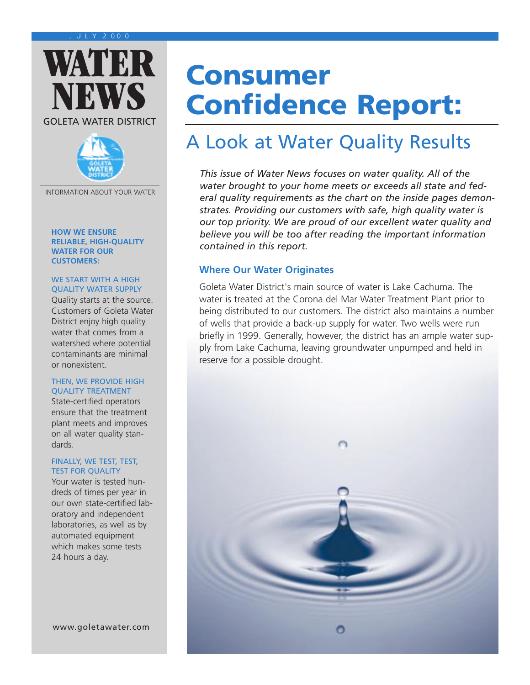



INFORMATION ABOUT YOUR WATER

#### **HOW WE ENSURE RELIABLE, HIGH-QUALITY WATER FOR OUR CUSTOMERS:**

#### WE START WITH A HIGH QUALITY WATER SUPPLY

Quality starts at the source. Customers of Goleta Water District enjoy high quality water that comes from a watershed where potential contaminants are minimal or nonexistent.

#### THEN, WE PROVIDE HIGH QUALITY TREATMENT

State-certified operators ensure that the treatment plant meets and improves on all water quality standards.

#### FINALLY, WE TEST, TEST, TEST FOR QUALITY

Your water is tested hundreds of times per year in our own state-certified laboratory and independent laboratories, as well as by automated equipment which makes some tests 24 hours a day.

# **Consumer Confidence Report:**

# A Look at Water Quality Results

*This issue of Water News focuses on water quality. All of the water brought to your home meets or exceeds all state and federal quality requirements as the chart on the inside pages demonstrates. Providing our customers with safe, high quality water is our top priority. We are proud of our excellent water quality and believe you will be too after reading the important information contained in this report.*

#### **Where Our Water Originates**

Goleta Water District's main source of water is Lake Cachuma. The water is treated at the Corona del Mar Water Treatment Plant prior to being distributed to our customers. The district also maintains a number of wells that provide a back-up supply for water. Two wells were run briefly in 1999. Generally, however, the district has an ample water supply from Lake Cachuma, leaving groundwater unpumped and held in reserve for a possible drought.

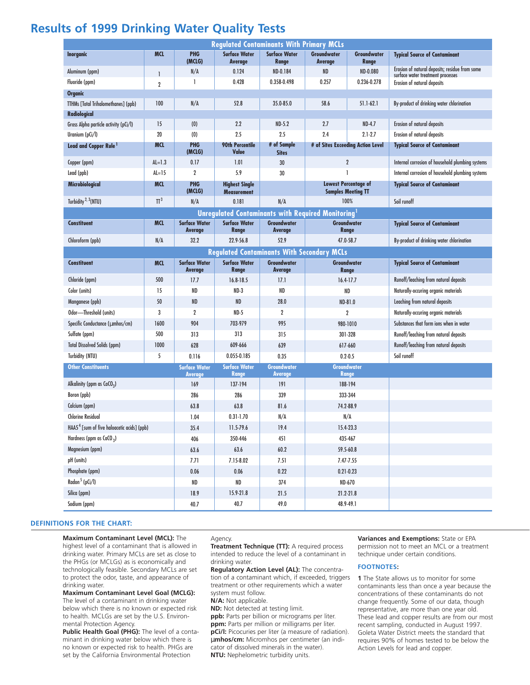### **Results of 1999 Drinking Water Quality Tests**

| <b>Regulated Contaminants With Primary MCLs</b>          |                |                                        |                                             |                                      |                                                          |                      |                                                                                     |
|----------------------------------------------------------|----------------|----------------------------------------|---------------------------------------------|--------------------------------------|----------------------------------------------------------|----------------------|-------------------------------------------------------------------------------------|
| <b>Inorganic</b>                                         | <b>MCL</b>     | PHG<br>(MCLG)                          | <b>Surface Water</b><br>Average             | <b>Surface Water</b><br>Range        | Groundwater<br>Average                                   | Groundwater<br>Range | <b>Typical Source of Contaminant</b>                                                |
| Aluminum (ppm)                                           |                | N/A                                    | 0.124                                       | ND-0.184                             | <b>ND</b>                                                | ND-0.080             | Erosion of natural deposits; residue from some<br>surface water treatment processes |
| Fluoride (ppm)                                           | $\overline{2}$ | 1                                      | 0.428                                       | 0.358-0.498                          | 0.257                                                    | 0.236-0.278          | Erosion of natural deposits                                                         |
| <b>Organic</b>                                           |                |                                        |                                             |                                      |                                                          |                      |                                                                                     |
| TTHMs [Total Trihalomethanes] (ppb)                      | 100            | N/A                                    | 52.8                                        | 35.0-85.0                            | 58.6                                                     | $51.1 - 62.1$        | By-product of drinking water chlorination                                           |
| Radiological                                             |                |                                        |                                             |                                      |                                                          |                      |                                                                                     |
| Gross Alpha particle activity (pCi/l)                    | 15             | (0)                                    | 2.2                                         | $ND-5.2$                             | 2.7                                                      | $ND-4.7$             | Erosion of natural deposits                                                         |
| Uranium (pCi/l)                                          | 20             | (0)                                    | 2.5                                         | 2.5                                  | 2.4                                                      | $2.1 - 2.7$          | Erosion of natural deposits                                                         |
| Lead and Copper Rule <sup>1</sup>                        | <b>MCL</b>     | <b>PHG</b><br>(MCLG)                   | <b>90th Percentile</b><br>Value             | # of Sample<br><b>Sites</b>          | # of Sites Exceeding Action Level                        |                      | <b>Typical Source of Contaminant</b>                                                |
| Copper (ppm)                                             | $AL=1.3$       | 0.17                                   | 1.01                                        | 30                                   | $\overline{2}$                                           |                      | Internal corrosion of household plumbing systems                                    |
| Lead (ppb)                                               | $AL=15$        | $\overline{2}$                         | 5.9                                         | 30                                   | 1                                                        |                      | Internal corrosion of household plumbing systems                                    |
| Microbiological                                          | <b>MCL</b>     | PHG<br>(MCLG)                          | <b>Highest Single</b><br><b>Measurement</b> |                                      | <b>Lowest Percentage of</b><br><b>Samples Meeting TT</b> |                      | <b>Typical Source of Contaminant</b>                                                |
| Turbidity <sup>2, 3</sup> (NTU)                          | $\Pi^3$        | N/A                                    | 0.181                                       | N/A                                  | 100%                                                     |                      | Soil runoff                                                                         |
| <b>Unregulated Contaminants with Required Monitoring</b> |                |                                        |                                             |                                      |                                                          |                      |                                                                                     |
| <b>Constituent</b>                                       | <b>MCL</b>     | <b>Surface Water</b><br>Average        | <b>Surface Water</b><br>Range               | <b>Groundwater</b><br>Average        | Groundwater<br>Range                                     |                      | <b>Typical Source of Contaminant</b>                                                |
| Chloroform (ppb)                                         | N/A            | 32.2                                   | 22.9-56.8                                   | 52.9                                 | 47.0-58.7                                                |                      | By-product of drinking water chlorination                                           |
| <b>Regulated Contaminants With Secondary MCLs</b>        |                |                                        |                                             |                                      |                                                          |                      |                                                                                     |
| <b>Constituent</b>                                       | <b>MCL</b>     | <b>Surface Water</b><br>Average        | <b>Surface Water</b><br><b>Range</b>        | Groundwater<br>Average               | Groundwater<br>Range                                     |                      | <b>Typical Source of Contaminant</b>                                                |
| Chloride (ppm)                                           | 500            | 17.7                                   | 16.8-18.5                                   | 17.1                                 | $16.4 - 17.7$                                            |                      | Runoff/leaching from natural deposits                                               |
| Color (units)                                            | 15             | ND                                     | ND-3                                        | <b>ND</b>                            | <b>ND</b>                                                |                      | Naturally-occuring organic materials                                                |
| Manganese (ppb)                                          | 50             | <b>ND</b>                              | <b>ND</b>                                   | 28.0                                 | ND-81.0                                                  |                      | Leaching from natural deposits                                                      |
| Odor-Threshold (units)                                   | 3              | $\overline{2}$                         | $ND-5$                                      | $\overline{2}$                       | $\overline{2}$                                           |                      | Naturally-occuring organic materials                                                |
| Specific Conductance (µmhos/cm)                          | 1600           | 904                                    | 703-979                                     | 995                                  | 980-1010                                                 |                      | Substances that form ions when in water                                             |
| Sulfate (ppm)                                            | 500            | 313                                    | 313                                         | 315                                  | 301-328                                                  |                      | Runoff/leaching from natural deposits                                               |
| <b>Total Dissolved Solids (ppm)</b>                      | 1000           | 628                                    | 609-666                                     | 639                                  | 617-660                                                  |                      | Runoff/leaching from natural deposits                                               |
| Turbidity (NTU)                                          | 5              | 0.116                                  | 0.055-0.185                                 | 0.35                                 | $0.2 - 0.5$                                              |                      | Soil runoff                                                                         |
| <b>Other Constituents</b>                                |                | <b>Surface Water</b><br><b>Average</b> | <b>Surface Water</b><br>Range               | <b>Groundwater</b><br><b>Average</b> | <b>Groundwater</b><br><b>Range</b>                       |                      |                                                                                     |
| Alkalinity (ppm as $CaCO3$ )                             |                | 169                                    | 137-194                                     | 191                                  | 188-194                                                  |                      |                                                                                     |
| Boron (ppb)                                              |                | 286                                    | 286                                         | 339                                  | 333-344                                                  |                      |                                                                                     |
| Calcium (ppm)                                            |                | 63.8                                   | 63.8                                        | 81.6                                 | 74.2-88.9                                                |                      |                                                                                     |
| <b>Chlorine Residual</b>                                 |                | 1.04                                   | $0.31 - 1.70$                               | N/A                                  | N/A                                                      |                      |                                                                                     |
| HAA5 <sup>4</sup> [sum of five haloacetic acids] (ppb)   |                | 35.4                                   | 11.5-79.6                                   | 19.4                                 | 15.4-23.3                                                |                      |                                                                                     |
| Hardness (ppm as $CaCO3$ )                               |                | 406                                    | 350-446                                     | 451                                  | 435-467                                                  |                      |                                                                                     |
| Magnesium (ppm)                                          |                | 63.6                                   | 63.6                                        | 60.2                                 | 59.5-60.8                                                |                      |                                                                                     |
| pH (units)                                               |                | 7.71                                   | 7.15-8.02                                   | 7.51                                 | 7.47-7.55                                                |                      |                                                                                     |
| Phosphate (ppm)                                          |                | 0.06                                   | 0.06                                        | 0.22                                 | $0.21 - 0.23$                                            |                      |                                                                                     |
| Radon <sup>5</sup> (pCi/l)                               |                | ND                                     | ND                                          | 374                                  | ND-670                                                   |                      |                                                                                     |
| Silica (ppm)                                             |                | 18.9                                   | 15.9-21.8                                   | 21.5                                 | 21.2-21.8                                                |                      |                                                                                     |
| Sodium (ppm)                                             |                | 40.7                                   | 40.7                                        | 49.0                                 | 48.9-49.1                                                |                      |                                                                                     |

#### **DEFINITIONS FOR THE CHART:**

**Maximum Contaminant Level (MCL):** The

highest level of a contaminant that is allowed in drinking water. Primary MCLs are set as close to the PHGs (or MCLGs) as is economically and technologically feasible. Secondary MCLs are set to protect the odor, taste, and appearance of drinking water.

**Maximum Contaminant Level Goal (MCLG):**

The level of a contaminant in drinking water below which there is no known or expected risk to health. MCLGs are set by the U.S. Environmental Protection Agency.

**Public Health Goal (PHG):** The level of a contaminant in drinking water below which there is no known or expected risk to health. PHGs are set by the California Environmental Protection

#### Agency.

**Treatment Technique (TT):** A required process intended to reduce the level of a contaminant in drinking water.

**Regulatory Action Level (AL):** The concentration of a contaminant which, if exceeded, triggers treatment or other requirements which a water system must follow.

**N/A:** Not applicable.

**ND:** Not detected at testing limit.

**ppb:** Parts per billion or micrograms per liter. **ppm:** Parts per million or milligrams per liter. **pCi/l:** Picocuries per liter (a measure of radiation). µ**mhos/cm:** Micromhos per centimeter (an indicator of dissolved minerals in the water). **NTU:** Nephelometric turbidity units.

**Variances and Exemptions:** State or EPA permission not to meet an MCL or a treatment technique under certain conditions.

#### **FOOTNOTES:**

**1** The State allows us to monitor for some contaminants less than once a year because the concentrations of these contaminants do not change frequently. Some of our data, though representative, are more than one year old. These lead and copper results are from our most recent sampling, conducted in August 1997. Goleta Water District meets the standard that requires 90% of homes tested to be below the Action Levels for lead and copper.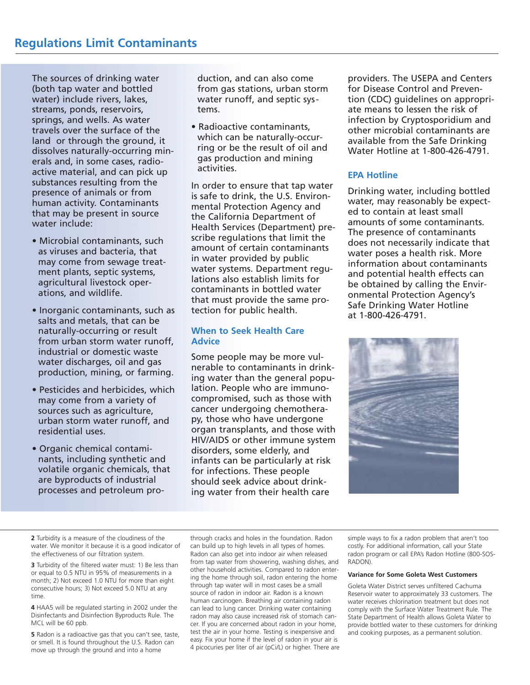The sources of drinking water (both tap water and bottled water) include rivers, lakes, streams, ponds, reservoirs, springs, and wells. As water travels over the surface of the land or through the ground, it dissolves naturally-occurring minerals and, in some cases, radioactive material, and can pick up substances resulting from the presence of animals or from human activity. Contaminants that may be present in source water include:

- Microbial contaminants, such as viruses and bacteria, that may come from sewage treatment plants, septic systems, agricultural livestock operations, and wildlife.
- Inorganic contaminants, such as salts and metals, that can be naturally-occurring or result from urban storm water runoff, industrial or domestic waste water discharges, oil and gas production, mining, or farming.
- Pesticides and herbicides, which may come from a variety of sources such as agriculture, urban storm water runoff, and residential uses.
- Organic chemical contaminants, including synthetic and volatile organic chemicals, that are byproducts of industrial processes and petroleum pro-

duction, and can also come from gas stations, urban storm water runoff, and septic systems.

• Radioactive contaminants, which can be naturally-occurring or be the result of oil and gas production and mining activities.

In order to ensure that tap water is safe to drink, the U.S. Environmental Protection Agency and the California Department of Health Services (Department) prescribe regulations that limit the amount of certain contaminants in water provided by public water systems. Department regulations also establish limits for contaminants in bottled water that must provide the same protection for public health.

#### **When to Seek Health Care Advice**

Some people may be more vulnerable to contaminants in drinking water than the general population. People who are immunocompromised, such as those with cancer undergoing chemotherapy, those who have undergone organ transplants, and those with HIV/AIDS or other immune system disorders, some elderly, and infants can be particularly at risk for infections. These people should seek advice about drinking water from their health care

providers. The USEPA and Centers for Disease Control and Prevention (CDC) guidelines on appropriate means to lessen the risk of infection by Cryptosporidium and other microbial contaminants are available from the Safe Drinking Water Hotline at 1-800-426-4791.

#### **EPA Hotline**

Drinking water, including bottled water, may reasonably be expected to contain at least small amounts of some contaminants. The presence of contaminants does not necessarily indicate that water poses a health risk. More information about contaminants and potential health effects can be obtained by calling the Environmental Protection Agency's Safe Drinking Water Hotline at 1-800-426-4791.



**2** Turbidity is a measure of the cloudiness of the water. We monitor it because it is a good indicator of the effectiveness of our filtration system.

**3** Turbidity of the filtered water must: 1) Be less than or equal to 0.5 NTU in 95% of measurements in a month; 2) Not exceed 1.0 NTU for more than eight consecutive hours; 3) Not exceed 5.0 NTU at any time.

**4** HAA5 will be regulated starting in 2002 under the Disinfectants and Disinfection Byproducts Rule. The MCL will be 60 ppb.

**5** Radon is a radioactive gas that you can't see, taste, or smell. It is found throughout the U.S. Radon can move up through the ground and into a home

through cracks and holes in the foundation. Radon can build up to high levels in all types of homes. Radon can also get into indoor air when released from tap water from showering, washing dishes, and other household activities. Compared to radon entering the home through soil, radon entering the home through tap water will in most cases be a small source of radon in indoor air. Radon is a known human carcinogen. Breathing air containing radon can lead to lung cancer. Drinking water containing radon may also cause increased risk of stomach cancer. If you are concerned about radon in your home, test the air in your home. Testing is inexpensive and easy. Fix your home if the level of radon in your air is 4 picocuries per liter of air (pCi/L) or higher. There are

simple ways to fix a radon problem that aren't too costly. For additional information, call your State radon program or call EPA's Radon Hotline (800-SOS-RADON).

#### **Variance for Some Goleta West Customers**

Goleta Water District serves unfiltered Cachuma Reservoir water to approximately 33 customers. The water receives chlorination treatment but does not comply with the Surface Water Treatment Rule. The State Department of Health allows Goleta Water to provide bottled water to these customers for drinking and cooking purposes, as a permanent solution.